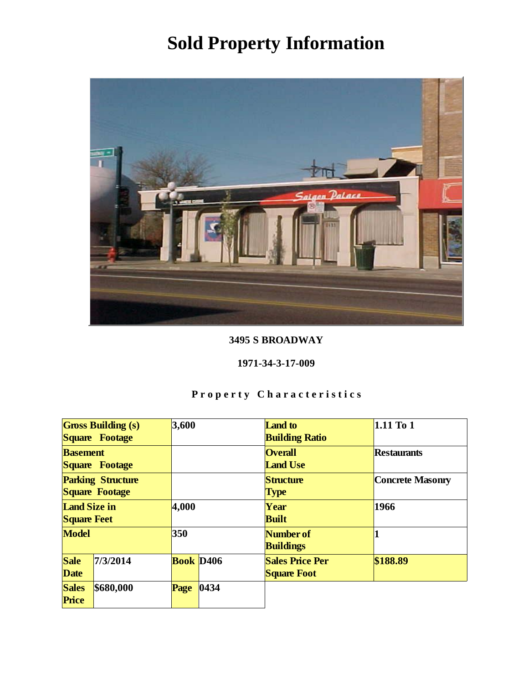

### 3495 S BROADWAY

#### 1971-34-3-17-009

|                                            | <b>Gross Building (s)</b><br>Square Footage | 3,600                        |      | <b>Land</b> to<br><b>Building Ratio</b>      | 1.11 To 1        |
|--------------------------------------------|---------------------------------------------|------------------------------|------|----------------------------------------------|------------------|
| <b>Basement</b><br>Square Footage          |                                             |                              |      | <b>Overall</b><br><b>Land Use</b>            | Restaurants      |
| <b>Parking Structure</b><br>Square Footage |                                             |                              |      | Structure<br><b>Type</b>                     | Concrete Masonry |
| Land Size in<br><b>Square Feet</b>         |                                             | 4,000                        |      | Year<br><b>Built</b>                         | 1966             |
| Model                                      |                                             | 350                          |      | Number of<br><b>Buildings</b>                |                  |
| Sale<br>Date                               | 7/3/2014                                    | <b>Book</b> D <sub>406</sub> |      | <b>Sales Price Per</b><br><b>Square Foot</b> | \$188.89         |
| <b>Sales</b><br>Price                      | \$680,000                                   | Page                         | 0434 |                                              |                  |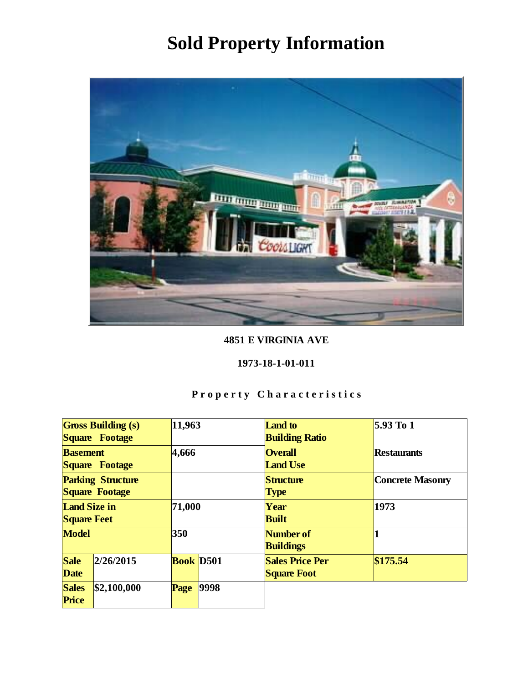

### 4851 E VIRGINIA AVE

#### 1973-18-1-01-011

|                                            | <b>Gross Building (s)</b><br>11,963<br>Square Footage |                  |      | <b>Land</b> to<br><b>Building Ratio</b>      | $5.93$ To 1      |
|--------------------------------------------|-------------------------------------------------------|------------------|------|----------------------------------------------|------------------|
| <b>Basement</b><br>Square Footage          |                                                       | 4,666            |      | <b>Overall</b><br><b>Land Use</b>            | Restaurants      |
| <b>Parking Structure</b><br>Square Footage |                                                       |                  |      | Structure<br>Type                            | Concrete Masonry |
| Land Size in<br><b>Square Feet</b>         |                                                       | 71,000           |      | Year<br><b>Built</b>                         | 1973             |
| Model                                      |                                                       | 350              |      | Number of<br><b>Buildings</b>                |                  |
| Sale<br>Date                               | 2/26/2015                                             | <b>Book</b> D501 |      | <b>Sales Price Per</b><br><b>Square Foot</b> | \$175.54         |
| <b>Sales</b><br>Price                      | \$2,100,000                                           | Page             | 9998 |                                              |                  |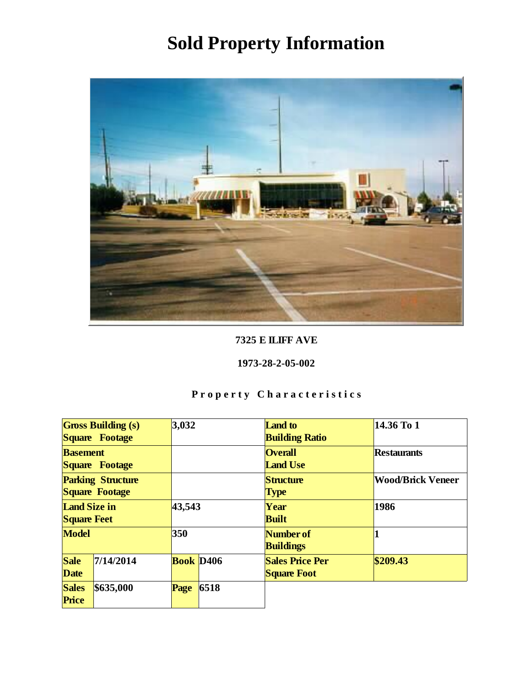

### 7325 E ILIFF AVE

### 1973-28-2-05-002

|                                            | <b>Gross Building (s)</b><br>Square Footage | 3,032                 |                                   | Land to<br><b>Building Ratio</b>             | 14.36 To 1               |
|--------------------------------------------|---------------------------------------------|-----------------------|-----------------------------------|----------------------------------------------|--------------------------|
| <b>Basement</b><br>Square Footage          |                                             |                       | <b>Overall</b><br><b>Land Use</b> | Restaurants                                  |                          |
| <b>Parking Structure</b><br>Square Footage |                                             |                       |                                   | Structure<br><b>Type</b>                     | <b>Wood/Brick Veneer</b> |
| Land Size in<br><b>Square Feet</b>         |                                             | 43,543                |                                   | Year<br><b>Built</b>                         | 1986                     |
| Model                                      |                                             | 350                   |                                   | Number of<br><b>Buildings</b>                |                          |
| Sale<br>Date                               | 7/14/2014                                   | Book D <sub>406</sub> |                                   | <b>Sales Price Per</b><br><b>Square Foot</b> | \$209.43                 |
| <b>Sales</b><br>Price                      | \$635,000                                   | Page                  | 6518                              |                                              |                          |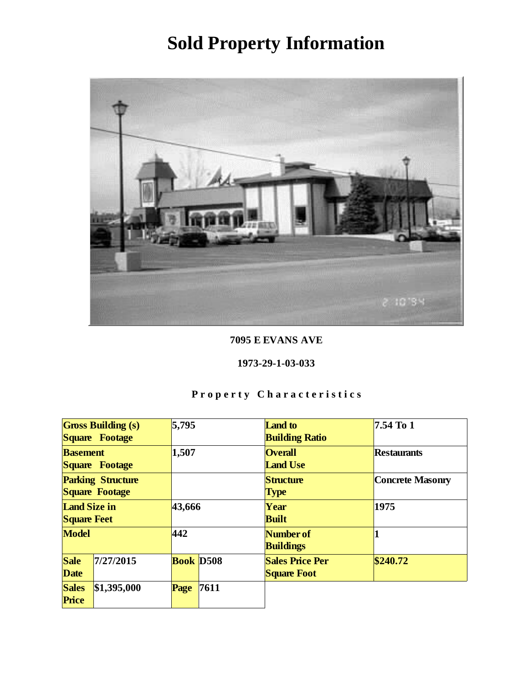

7095 E EVANS AVE

#### 1973-29-1-03-033

|                                            | 5,795<br><b>Gross Building (s)</b><br>Square Footage |                  |      | Land to<br><b>Building Ratio</b>             | 7.54 To 1        |
|--------------------------------------------|------------------------------------------------------|------------------|------|----------------------------------------------|------------------|
| <b>Basement</b><br>Square Footage          |                                                      | 1,507            |      | <b>Overall</b><br><b>Land Use</b>            | Restaurants      |
| <b>Parking Structure</b><br>Square Footage |                                                      |                  |      | Structure<br><b>Type</b>                     | Concrete Masonry |
| Land Size in<br><b>Square Feet</b>         |                                                      | 43,666           |      | Year<br><b>Built</b>                         | 1975             |
| Model                                      |                                                      | 442              |      | Number of<br><b>Buildings</b>                |                  |
| Sale<br>Date                               | 7/27/2015                                            | <b>Book D508</b> |      | <b>Sales Price Per</b><br><b>Square Foot</b> | \$240.72         |
| <b>Sales</b><br>Price                      | \$1,395,000                                          | Page             | 7611 |                                              |                  |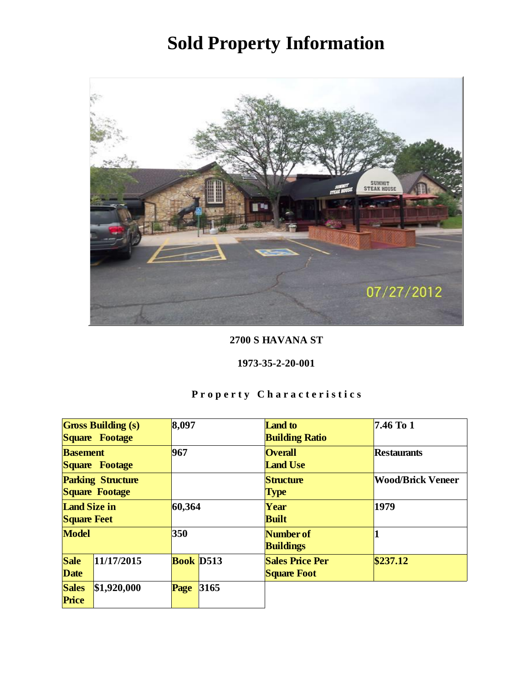

### 2700 S HAVANA ST

### 1973-35-2-20-001

|                          | <b>Gross Building (s)</b> | 8,097     |      | Land to                | 7.46 To 1                |
|--------------------------|---------------------------|-----------|------|------------------------|--------------------------|
|                          | Square Footage            |           |      | <b>Building Ratio</b>  |                          |
| <b>Basement</b>          |                           | 967       |      | <b>Overall</b>         | Restaurants              |
|                          | Square Footage            |           |      | <b>Land Use</b>        |                          |
| <b>Parking Structure</b> |                           |           |      | Structure              | <b>Wood/Brick Veneer</b> |
| Square Footage           |                           |           |      | <b>Type</b>            |                          |
| Land Size in             |                           | 60,364    |      | Year                   | 1979                     |
| <b>Square Feet</b>       |                           |           |      | <b>Built</b>           |                          |
| Model                    |                           | 350       |      | Number of              |                          |
|                          |                           |           |      | <b>Buildings</b>       |                          |
| Sale                     | 11/17/2015                | Book D513 |      | <b>Sales Price Per</b> | \$237.12                 |
| Date                     |                           |           |      | <b>Square Foot</b>     |                          |
| <b>Sales</b>             | \$1,920,000               | Page      | 3165 |                        |                          |
| Price                    |                           |           |      |                        |                          |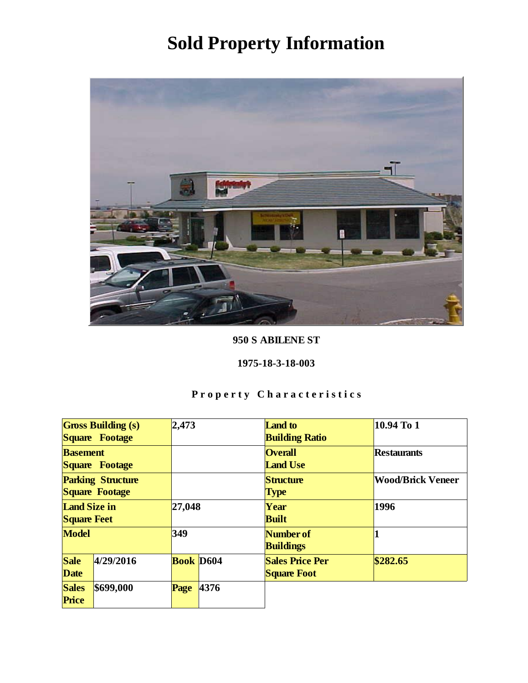

950 S ABILENE ST

1975-18-3-18-003

|                          | <b>Gross Building (s)</b> | 2,473            |      | <b>Land</b> to         | 10.94 To 1               |
|--------------------------|---------------------------|------------------|------|------------------------|--------------------------|
|                          | Square Footage            |                  |      | <b>Building Ratio</b>  |                          |
| <b>Basement</b>          |                           |                  |      | <b>Overall</b>         | Restaurants              |
|                          | Square Footage            |                  |      | <b>Land Use</b>        |                          |
| <b>Parking Structure</b> |                           |                  |      | Structure              | <b>Wood/Brick Veneer</b> |
| Square Footage           |                           |                  |      | <b>Type</b>            |                          |
| Land Size in             |                           | 27,048           |      | Year                   | 1996                     |
| <b>Square Feet</b>       |                           |                  |      | <b>Built</b>           |                          |
| Model                    |                           | 349              |      | Number of              |                          |
|                          |                           |                  |      | <b>Buildings</b>       |                          |
| Sale                     | 4/29/2016                 | <b>Book</b> D604 |      | <b>Sales Price Per</b> | \$282.65                 |
| Date                     |                           |                  |      | <b>Square Foot</b>     |                          |
| <b>Sales</b>             | \$699,000                 | Page             | 4376 |                        |                          |
| Price                    |                           |                  |      |                        |                          |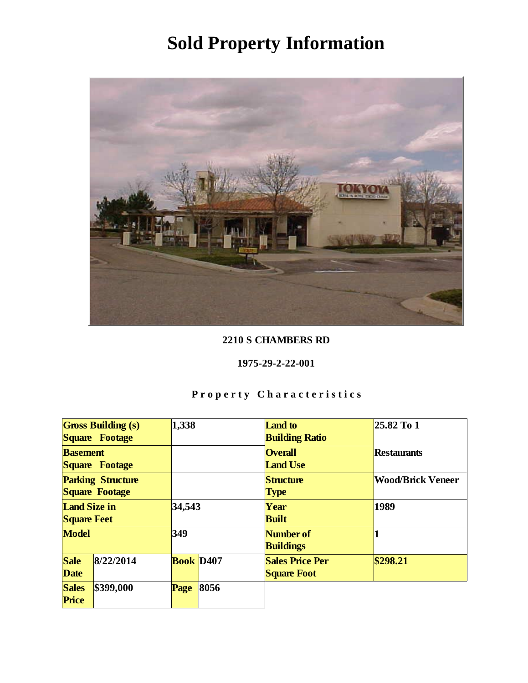

### 2210 S CHAMBERS RD

#### 1975-29-2-22-001

|                                            | <b>Gross Building (s)</b><br>Square Footage | 1,338                 |      | Land to<br><b>Building Ratio</b>             | 25.82 To 1               |
|--------------------------------------------|---------------------------------------------|-----------------------|------|----------------------------------------------|--------------------------|
| <b>Basement</b><br>Square Footage          |                                             |                       |      | <b>Overall</b><br><b>Land Use</b>            | Restaurants              |
| <b>Parking Structure</b><br>Square Footage |                                             |                       |      | Structure<br><b>Type</b>                     | <b>Wood/Brick Veneer</b> |
| Land Size in<br><b>Square Feet</b>         |                                             | 34,543                |      | Year<br><b>Built</b>                         | 1989                     |
| Model                                      |                                             | 349                   |      | Number of<br><b>Buildings</b>                |                          |
| Sale<br>Date                               | 8/22/2014                                   | Book D <sub>407</sub> |      | <b>Sales Price Per</b><br><b>Square Foot</b> | \$298.21                 |
| <b>Sales</b><br>Price                      | \$399,000                                   | Page                  | 8056 |                                              |                          |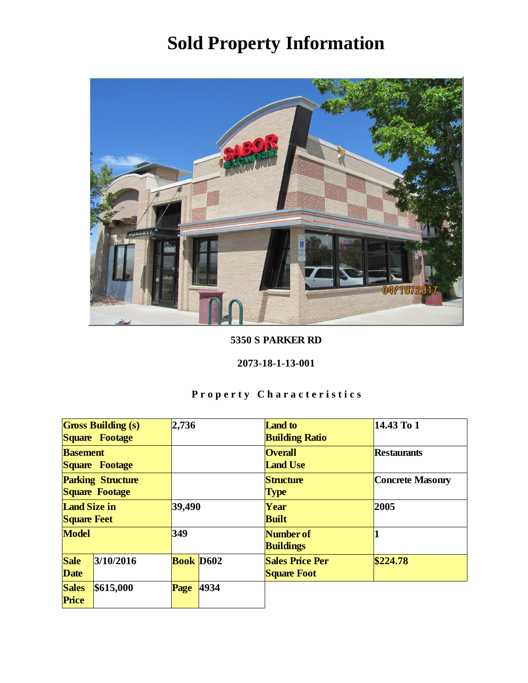

5350 S PARKER RD

2073-18-1-13-001

|                                            | <b>Gross Building (s)</b><br>Square Footage | 2,736            |      | <b>Land</b> to<br><b>Building Ratio</b>      | 14.43 To 1       |
|--------------------------------------------|---------------------------------------------|------------------|------|----------------------------------------------|------------------|
| <b>Basement</b><br>Square Footage          |                                             |                  |      | <b>Overall</b><br><b>Land Use</b>            | Restaurants      |
| <b>Parking Structure</b><br>Square Footage |                                             |                  |      | Structure<br><b>Type</b>                     | Concrete Masonry |
| Land Size in<br><b>Square Feet</b>         |                                             | 39,490           |      | Year<br><b>Built</b>                         | 2005             |
| Model                                      |                                             | 349              |      | Number of<br><b>Buildings</b>                |                  |
| Sale<br>Date                               | 3/10/2016                                   | <b>Book</b> D602 |      | <b>Sales Price Per</b><br><b>Square Foot</b> | \$224.78         |
| <b>Sales</b><br>Price                      | \$615,000                                   | Page             | 4934 |                                              |                  |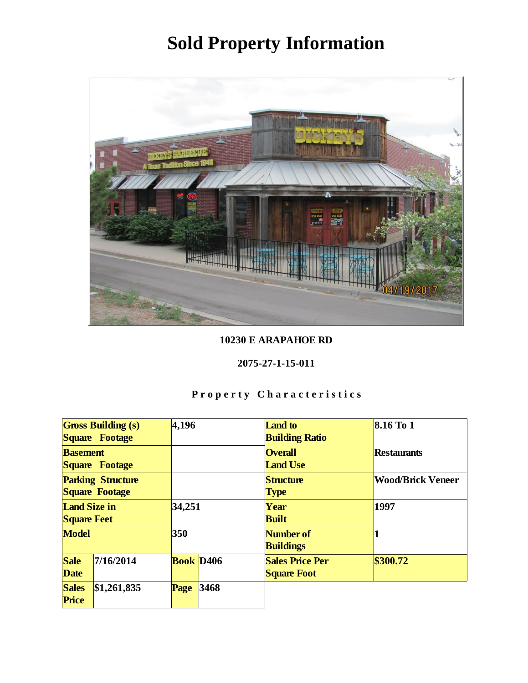

10230 E ARAPAHOE RD

#### 2075-27-1-15-011

|                                            | <b>Gross Building (s)</b><br>Square Footage | 4,196                        |      | Land to<br><b>Building Ratio</b>             | $8.16$ To 1              |
|--------------------------------------------|---------------------------------------------|------------------------------|------|----------------------------------------------|--------------------------|
|                                            | <b>Basement</b><br>Square Footage           |                              |      | <b>Overall</b><br><b>Land Use</b>            | Restaurants              |
| <b>Parking Structure</b><br>Square Footage |                                             |                              |      | Structure<br>Type                            | <b>Wood/Brick Veneer</b> |
| Land Size in<br><b>Square Feet</b>         |                                             | 34,251                       |      | Year<br><b>Built</b>                         | 1997                     |
| Model                                      |                                             | 350                          |      | Number of<br><b>Buildings</b>                |                          |
| Sale<br>Date                               | 7/16/2014                                   | <b>Book</b> D <sub>406</sub> |      | <b>Sales Price Per</b><br><b>Square Foot</b> | \$300.72                 |
| <b>Sales</b><br>Price                      | \$1,261,835                                 | Page                         | 3468 |                                              |                          |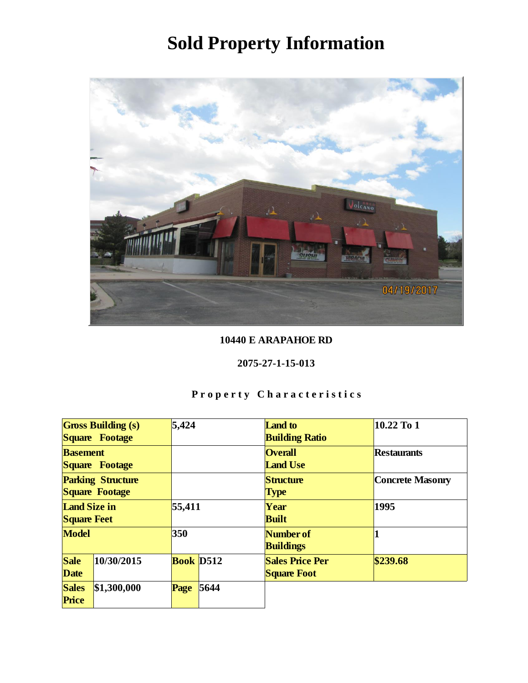

### 10440 E ARAPAHOE RD

### 2075-27-1-15-013

|                                            | <b>Gross Building (s)</b><br>Square Footage | 5,424     |      | <b>Land</b> to<br><b>Building Ratio</b>      | 10.22 To 1       |
|--------------------------------------------|---------------------------------------------|-----------|------|----------------------------------------------|------------------|
| <b>Basement</b><br>Square Footage          |                                             |           |      | <b>Overall</b><br><b>Land Use</b>            | Restaurants      |
| <b>Parking Structure</b><br>Square Footage |                                             |           |      | Structure<br><b>Type</b>                     | Concrete Masonry |
| Land Size in<br><b>Square Feet</b>         |                                             | 55,411    |      | Year<br><b>Built</b>                         | 1995             |
| Model                                      |                                             | 350       |      | Number of<br><b>Buildings</b>                |                  |
| Sale<br>Date                               | 10/30/2015                                  | Book D512 |      | <b>Sales Price Per</b><br><b>Square Foot</b> | \$239.68         |
| <b>Sales</b><br>Price                      | \$1,300,000                                 | Page      | 5644 |                                              |                  |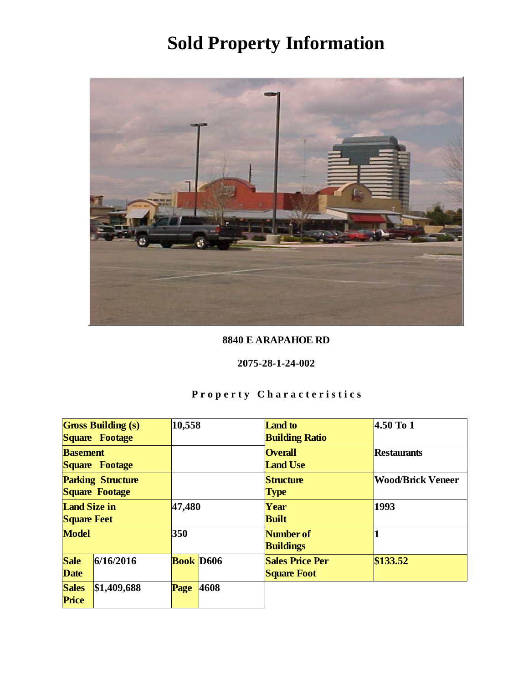

### 8840 E ARAPAHOE RD

#### 2075-28-1-24-002

|                                            | <b>Gross Building (s)</b><br>Square Footage | 10,558           |      | Land to<br><b>Building Ratio</b>             | $4.50$ To 1              |
|--------------------------------------------|---------------------------------------------|------------------|------|----------------------------------------------|--------------------------|
| <b>Basement</b><br>Square Footage          |                                             |                  |      | <b>Overall</b><br><b>Land Use</b>            | Restaurants              |
| <b>Parking Structure</b><br>Square Footage |                                             |                  |      | Structure<br><b>Type</b>                     | <b>Wood/Brick Veneer</b> |
| Land Size in<br><b>Square Feet</b>         |                                             | 47,480           |      | Year<br><b>Built</b>                         | 1993                     |
| Model                                      |                                             | 350              |      | Number of<br><b>Buildings</b>                |                          |
| Sale<br>Date                               | 6/16/2016                                   | <b>Book D606</b> |      | <b>Sales Price Per</b><br><b>Square Foot</b> | \$133.52                 |
| <b>Sales</b><br>Price                      | \$1,409,688                                 | Page             | 4608 |                                              |                          |